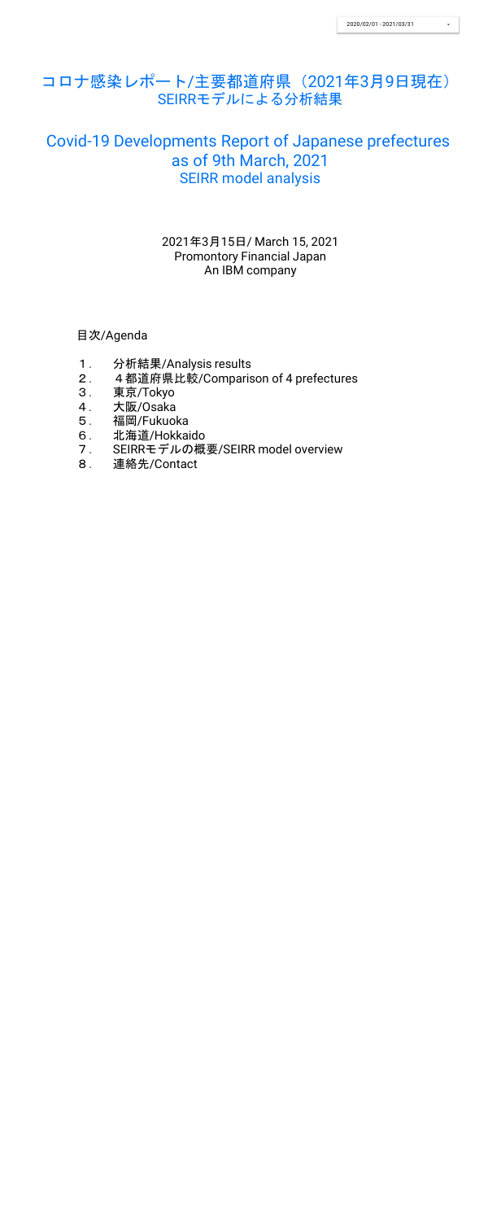目次/Agenda

- 1. 分析結果/Analysis results
- 2. 4都道府県比較/Comparison of 4 prefectures
- 3. 東京/Tokyo
- 4. 大阪/Osaka
- 5. 福岡/Fukuoka
- 6. 北海道/Hokkaido
- 7. SEIRRモデルの概要/SEIRR model overview
- 8. 連絡先/Contact

2021年3月15日/ March 15, 2021 Promontory Financial Japan An IBM company

# コロナ感染レポート/主要都道府県(2021年3月9日現在) SEIRRモデルによる分析結果

# Covid-19 Developments Report of Japanese prefectures as of 9th March, 2021 SEIRR model analysis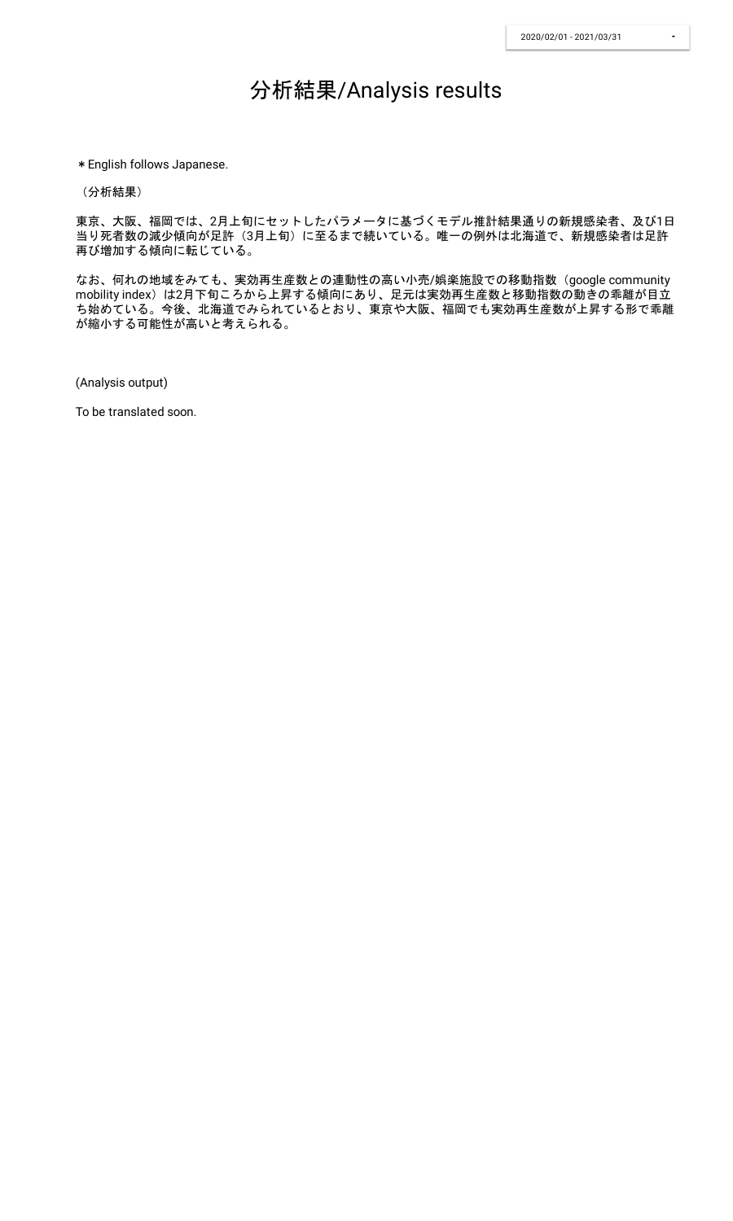## 分析結果/Analysis results

\*English follows Japanese.

(分析結果)

東京、大阪、福岡では、2月上旬にセットしたパラメータに基づくモデル推計結果通りの新規感染者、及び1日 当り死者数の減少傾向が足許(3月上旬)に至るまで続いている。唯一の例外は北海道で、新規感染者は足許 再び増加する傾向に転じている。

なお、何れの地域をみても、実効再生産数との連動性の高い小売/娯楽施設での移動指数(google community mobility index)は2月下旬ころから上昇する傾向にあり、足元は実効再生産数と移動指数の動きの乖離が目立 ち始めている。今後、北海道でみられているとおり、東京や大阪、福岡でも実効再生産数が上昇する形で乖離 が縮小する可能性が高いと考えられる。

(Analysis output)

To be translated soon.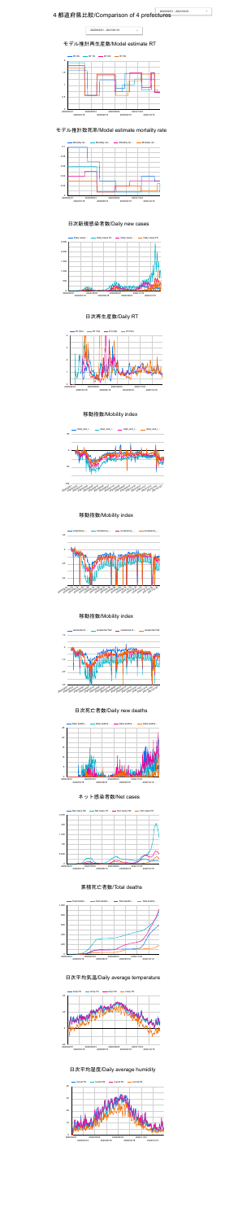# 4都道府県比較/Comparison of 4 prefectures<sup>2020/02/01</sup>







#### 日次新規感染者数/Daily new cases

#### 日次再生産数/Daily RT

#### 移動指数/Mobility index



日次死亡者数/Daily new deaths



#### 累積死亡者数/Total deaths











#### 日次平均気温/Daily average temperature



#### 日次平均湿度/Daily average humidity



#### モデル推計再生産数/Model estimate RT



#### モデル推計致死率/Model estimate mortality rate



#### 移動指数/Mobility index

#### 移動指数/Mobility index

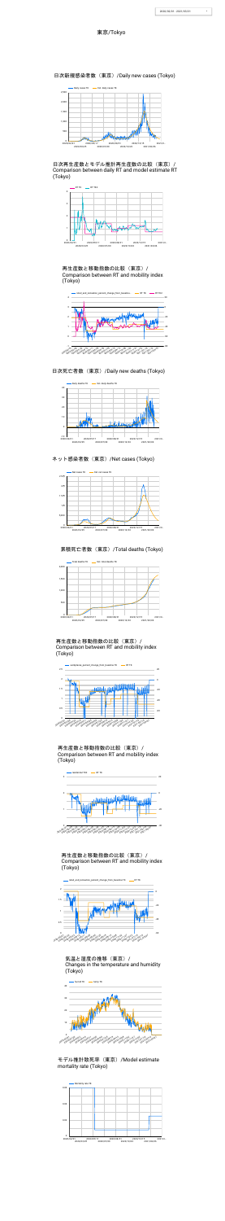



日次再生産数とモデル推計再生産数の比較(東京)/ Comparison between daily RT and model estimate RT (Tokyo)

再生産数と移動指数の比較(東京)/ Comparison between RT and mobility index (Tokyo)





日次死亡者数(東京)/Daily new deaths (Tokyo)

日次新規感染者数(東京)/Daily new cases (Tokyo)

#### 再生産数と移動指数の比較(東京)/ Comparison between RT and mobility index (Tokyo)



ネット感染者数 (東京) /Net cases (Tokyo)

再生産数と移動指数の比較(東京)/ Comparison between RT and mobility index (Tokyo)







再生産数と移動指数の比較(東京)/ Comparison between RT and mobility index (Tokyo)

#### 累積死亡者数(東京)/Total deaths (Tokyo)









気温と湿度の推移(東京)/ Changes in the temperature and humidity (Tokyo)

#### 東京/Tokyo



#### モデル推計致死率(東京)/Model estimate mortality rate (Tokyo)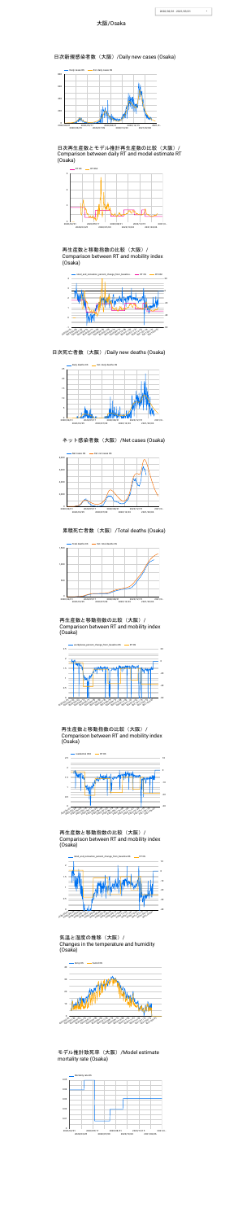



再生産数と移動指数の比較(大阪)/ Comparison between RT and mobility index (Osaka)



日次新規感染者数(大阪)/Daily new cases (Osaka)

日次再生産数とモデル推計再生産数の比較(大阪)/ Comparison between daily RT and model estimate RT (Osaka)



#### ネット感染者数 (大阪) /Net cases (Osaka)

#### 再生産数と移動指数の比較(大阪)/ Comparison between RT and mobility index (Osaka)

#### 日次死亡者数(大阪)/Daily new deaths (Osaka)



再生産数と移動指数の比較(大阪)/ Comparison between RT and mobility index (Osaka)



#### 累積死亡者数(大阪)/Total deaths (Osaka)

再生産数と移動指数の比較(大阪)/ Comparison between RT and mobility index (Osaka)







#### 大阪/Osaka

#### 気温と湿度の推移(大阪)/ Changes in the temperature and humidity (Osaka)





#### モデル推計致死率(大阪)/Model estimate mortality rate (Osaka)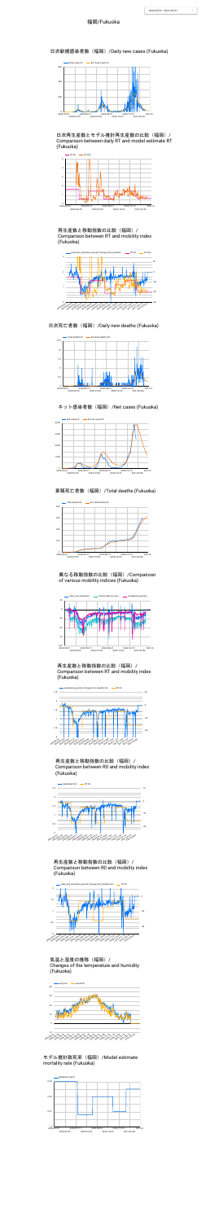





日次死亡者数 (福岡) /Daily new deaths (Fukuoka)



日次新規感染者数(福岡)/Daily new cases (Fukuoka)

再生産数と移動指数の比較(福岡)/ Comparison between RT and mobility index (Fukuoka)

#### 異なる移動指数の比較(福岡)/Compariosn of various mobility indices (Fukuoka)



ネット感染者数 (福岡) /Net cases (Fukuoka)

日次再生産数とモデル推計再生産数の比較(福岡)/ Comparison between daily RT and model estimate RT (Fukuoka)





### 累積死亡者数(福岡)/Total deaths (Fukuoka)





再生産数と移動指数の比較(福岡)/ Comparison between RT and mobility index (Fukuoka)



再生産数と移動指数の比較(福岡)/ Comparison between R0 and mobility index (Fukuoka)



気温と湿度の推移(福岡)/ Changes of the temperature and humidity (Fukuoka)

#### 福岡/Fukuoka







モデル推計致死率(福岡)/Model estimate mortality rate (Fukuoka)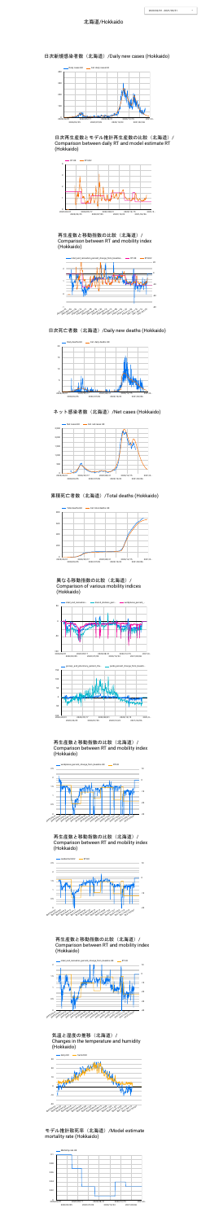





ネット感染者数 (北海道) /Net cases (Hokkaido)





日次死亡者数(北海道)/Daily new deaths (Hokkaido)

日次新規感染者数(北海道)/Daily new cases (Hokkaido)

再生産数と移動指数の比較(北海道)/ Comparison between RT and mobility index (Hokkaido)

日次再生産数とモデル推計再生産数の比較(北海道)/ Comparison between daily RT and model estimate RT (Hokkaido)



累積死亡者数(北海道)/Total deaths (Hokkaido)



#### 再生産数と移動指数の比較(北海道)/ Comparison between RT and mobility index (Hokkaido)

|    | example retail_and_recreation | transit_stations_perc | - workplaces_percent_ |
|----|-------------------------------|-----------------------|-----------------------|
| 50 |                               |                       |                       |







#### 再生産数と移動指数の比較(北海道)/ Comparison between RT and mobility index (Hokkaido)



#### 再生産数と移動指数の比較(北海道)/ Comparison between RT and mobility index (Hokkaido)



![](_page_6_Figure_25.jpeg)

気温と湿度の推移(北海道)/ Changes in the temperature and humidity (Hokkaido)

![](_page_6_Figure_27.jpeg)

#### モデル推計致死率(北海道)/Model estimate mortality rate (Hokkaido)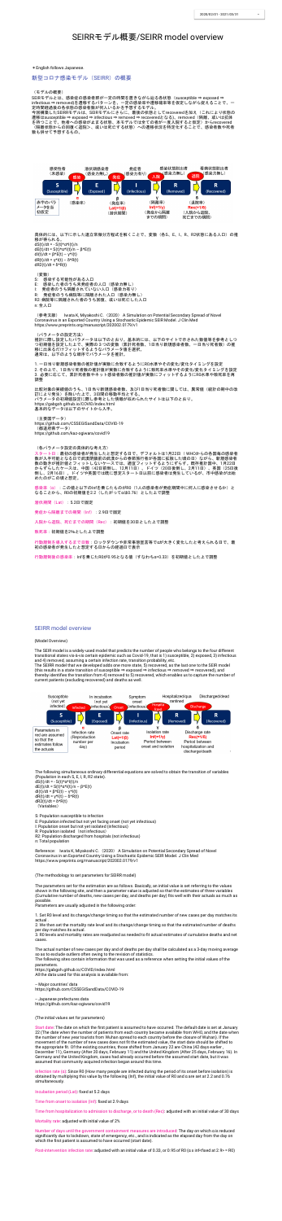#### SEIRRモデル概要/SEIRR model overview

\*English follows Japanese.

新型コロナ感染モデル(SEIRR)の概要

(モデルの概要)

SEIRモデルとは、感染症の感染者群が一定の時間を置きながら辿る各状態(susceptible ⇒ exposed ⇒ infectious ⇒ removed)を遷移するパターンを、一定の感染率や遷移確率等を仮定しながら捉えることで、一 定時間経過後の各状態の感染者数が何人いるかを予想するモデル。

今回構築したSEIRRモデルは、SEIRモデルにさらに、最後の状態としてrecoveredを加え(これにより状態の 遷移はsusceptible ⇒ exposed ⇒ infectious ⇒ removed ⇒ recoveredとなる)、removed(隔離、或いは抗体 を持つことで、他者への感染が止まる状態、本モデルでは全ての者が一度入院すると仮定)からrecovered (隔離状態からの回復<退院>、或いは死亡する状態)への遷移状況を特定化することで、感染者数や死者 数も併せて予想するもの。

![](_page_7_Figure_7.jpeg)

(参考文献) Iwata K, Miyakoshi C. (2020) A Simulation on Potential Secondary Spread of Novel Coronavirus in an Exported Country Using a Stochastic Epidemic SEIR Model. J Clin Med https://www.preprints.org/manuscript/202002.0179/v1

具体的には、以下に示した連立常微分方程式を解くことで、変数(各S、E、I、R、R2状態にある人口)の推 移が得られる。 dS(t)/dt =  $-S(t)*\alpha*I(t)/n$ dE(t)/dt = S(t)\*α\*I(t)/n – β\*E(t) dI(t)/dt =  $\beta$ \*E(t) – γ\*I(t) dR(t)/dt = γ\*I(t) – δ\*R(t) dR2(t)/dt = δ\*R(t) (変数) S: 感染する可能性がある人口 E: 感染した者のうち未発症者の人口(感染力無し) I: 発症者のうち隔離されていない人口(感染力有り)

比較対象の実績値のうち、1日当り新規感染者数、及び1日当り死者数に関しては、異常値(統計の期中の改 訂により発生)を除いた上で、3日間の移動平均とする。 パラメータの初期値設定に際し参考とした情報が収められたサイトは以下のとおり。 https://gabgoh.github.io/COVID/index.html 基本的なデータは以下のサイトから入手。

- R: 発症者のうち病院等に隔離された人口(感染力無し)
- R2: 病院等に隔離された者のうち回復、或いは死亡した人口

n: 全人口

感染率(α):この値と以下のInfを乗じたものがR0(1人の感染者が発症期間中に何人に感染させるか)と なることから、R0の初期値を2.2(したがってαは0.76)とした上で調整

潜伏期間 (Lat) : 5.2日で固定

発症から隔離までの期間 (Inf) : 2.9日で固定

入院から退院、死亡までの期間(Rec):初期値を30日とした上で調整

(パラメータの設定方法) 推計に際し設定したパラメータは以下のとおり。基本的には、以下のサイトで示された数値等を参考としつ つ初期値を設定した上で、実際の3つの変数(累計死者数、1日当り新規感染者数、一日当り死者数)の推 移に出来るだけフィットするようなパラメータ値を選択。 通常は、以下のような順序でパラメータを推計。

1. 一日当り新規感染者数の推計値が実数に合致するようにR0水準やその変化/変化タイミングを設定 2. その上で、1日当り死者数の推計値が実数に合致するように致死率水準やその変化/変化タイミングを設定 3. 必要に応じて、累計死者数やネット感染者数の推計値が実数にフィットするようにR0水準や致死率を再 調整

(主要国データ)

https://github.com/CSSEGISandData/COVID-19 (都道府県データ) https://github.com/kaz-ogiwara/covid19

(各パラメータ設定の具体的な考え方)

スタート日:最初の感染者が発生したと想定する日で、デフォルトは1月22日( WHOからの各国毎の感染者 数が入手可能となる日で武漢閉鎖前の武漢からの春節旅行者が各国に拡散した頃の日)ながら、新規感染者 数の動きが推計値とフィットしないケースでは、適宜フィットするようにずらす。既存推計国中、1月22日 からずらしたケースは、中国(42日前倒し、12月11日)、ドイツ(20日後倒し、2月11日)、英国(25日後 倒し、2月16日)。ドイツや英国では既に想定スタート日以前に感染者は発生しているが、市中感染が出始 めたのがこの頃と想定。

Reference: Iwata K, Miyakoshi C. (2020) A Simulation on Potential Secondary Spread of Novel Coronavirus in an Exported Country Using a Stochastic Epidemic SEIR Model. J Clin Med https://www.preprints.org/manuscript/202002.0179/v1

致死率:初期値を2%とした上で調整

行動規制を導入するまで日数:ロックダウンや非常事態宣言等でαが大きく変化したと考えられる日で、最 初の感染者が発生したと想定する日からの経過日で表示

行動規制後の感染率:Infを乗じたR0が0.95となる値(すなわちα=0.33)を初期値とした上で調整

#### SEIRR model overview

3. RO levels and mortality rates are readjusted as needed to fit actual estimates of cumulative deaths and net cases.

#### (Model Overview)

The SEIR model is a widely-used model that predicts the number of people who belongs to the four different transitional states vis-à-vis certain epidemic such as Covid-19, that is 1) susceptible, 2) exposed, 3) infectious and 4) removed, assuming a certain infection rate, transition probability, etc.

The SEIRR model that we developed adds one more state, 5) recovered, as the last one to the SEIR model (this results in a state transition of susceptible ⇒ exposed ⇒ infectious ⇒ removed ⇒ recovered), and thereby identifies the transition from 4) removed to 5) recovered, which enables us to capture the number of current patients (excluding recovered) and deaths as well.

![](_page_7_Figure_31.jpeg)

Start date: The date on which the first patient is assumed to have occurred. The default date is set at January 22 (The date when the number of patients from each country became available from WHO, and the date when the number of new year tourists from Wuhan spread to each country before the closure of Wuhan). If the movement of the number of new cases does not fit the estimated value, the start date should be shifted to the appropriate fit. Of the existing countries, those shifted from January 22 are China (42 days earlier, December 11), Germany (After 20 days, February 11) and the United Kingdom (After 25 days, February 16). In Germany and the United Kingdom, cases had already occurred before the assumed start date, but it was assumed that community acquired infection began around this time.

Infection rate ( $\alpha$ ): Since R0 (How many people are infected during the period of its onset before isolation) is obtained by multiplying this value by the following (Inf), the initial value of R0 and α are set at 2.2 and 0.76 simultaneously.

Incubation period (Lat): fixed at 5.2 days

Time from onset to isolation (Inf): fixed at 2.9 days

The following simultaneous ordinary differential equations are solved to obtain the transition of variables (Population in each S, E, I, R, R2 state). dS(t)/dt =  $-S(t)*α*I(t)/n$ dE(t)/dt = S(t)\*α\*I(t)/n – β\*E(t) dI(t)/dt =  $\beta$ \*E(t) – γ\*I(t) dR(t)/dt = γ\*l(t) –  $\delta$ \*R(t) dR2(t)/dt =  $δ*R(t)$ (Variables)

Number of days until the government containment measures are introduced: The day on which α is reduced significantly due to lockdown, state of emergency, etc., and is indicated as the elapsed day from the day on which the first patient is assumed to have occurred (start date).

Post-intervention infection rate: adjusted with an initial value of 0.33, or 0.95 of R0 ( $\alpha$  x inf<fixed at 2.9> = R0)

S: Population susceptible to infection E: Population infected but not yet facing onset (not yet infectious) I: Population onset but not yet isolated (infectious) R: Population isolated (not infectious) R2: Population discharged from hospitals (not infectious) n: Total population

(The methodology to set parameters for SEIRR model)

The parameters set for the estimation are as follows. Basically, an initial value is set referring to the values shown in the following site, and then a parameter value is adjusted so that the estimates of three variables (Cumulative number of deaths, new cases per day, and deaths per day) fits well with their actuals as much as possible.

Parameters are usually adjusted in the following order:

1. Set R0 level and its change/change timing so that the estimated number of new cases per day matches its

actual .

2. We then set the mortality rate level and its change/change timing so that the estimated number of deaths per day matches its actual.

The actual number of new cases per day and of deaths per day shall be calculated as a 3-day moving average so as to exclude outliers often owing to the revision of statistics.

The following sites contain information that was used as a reference when setting the initial values of the parameters.

https://gabgoh.github.io/COVID/index.html All the data used for this analysis is available from:

-- Major countries' data https://github.com/CSSEGISandData/COVID-19

-- Japanese prefectures data https://github.com/kaz-ogiwara/covid19

(The initial values set for parameters)

Time from hospitalization to admission to discharge, or to death (Rec): adjusted with an initial value of 30 days

Mortality rate: adjusted with initial value of 2%